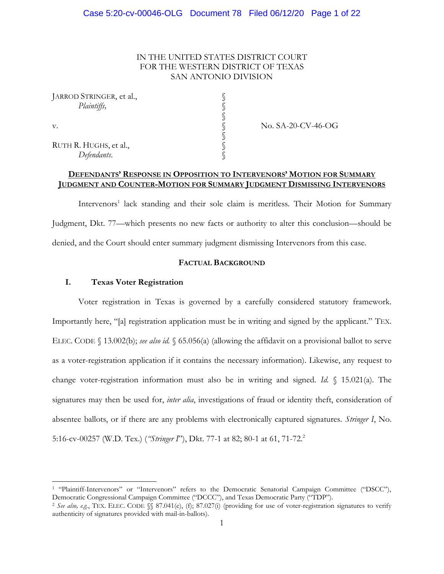# IN THE UNITED STATES DISTRICT COURT FOR THE WESTERN DISTRICT OF TEXAS SAN ANTONIO DIVISION

§

§

| JARROD STRINGER, et al., |  |
|--------------------------|--|
| <i>Plaintiffs</i> ,      |  |

l

RUTH R. HUGHS, et al., *Defendants*. §

v. SA-20-CV-46-OG

### **DEFENDANTS' RESPONSE IN OPPOSITION TO INTERVENORS' MOTION FOR SUMMARY JUDGMENT AND COUNTER-MOTION FOR SUMMARY JUDGMENT DISMISSING INTERVENORS**

Intervenors<sup>1</sup> lack standing and their sole claim is meritless. Their Motion for Summary Judgment, Dkt. 77—which presents no new facts or authority to alter this conclusion—should be denied, and the Court should enter summary judgment dismissing Intervenors from this case.

# **FACTUAL BACKGROUND**

### **I. Texas Voter Registration**

Voter registration in Texas is governed by a carefully considered statutory framework. Importantly here, "[a] registration application must be in writing and signed by the applicant." TEX. ELEC. CODE § 13.002(b); *see also id.* § 65.056(a) (allowing the affidavit on a provisional ballot to serve as a voter-registration application if it contains the necessary information). Likewise, any request to change voter-registration information must also be in writing and signed. *Id.* § 15.021(a). The signatures may then be used for, *inter alia*, investigations of fraud or identity theft, consideration of absentee ballots, or if there are any problems with electronically captured signatures. *Stringer I*, No. 5:16-cv-00257 (W.D. Tex.) (*"Stringer I*"), Dkt. 77-1 at 82; 80-1 at 61, 71-72. 2

<sup>1</sup> "Plaintiff-Intervenors" or "Intervenors" refers to the Democratic Senatorial Campaign Committee ("DSCC"), Democratic Congressional Campaign Committee ("DCCC"), and Texas Democratic Party ("TDP").

<sup>2</sup> *See also, e.g.*, TEX. ELEC. CODE §§ 87.041(e), (f); 87.027(i) (providing for use of voter-registration signatures to verify authenticity of signatures provided with mail-in-ballots).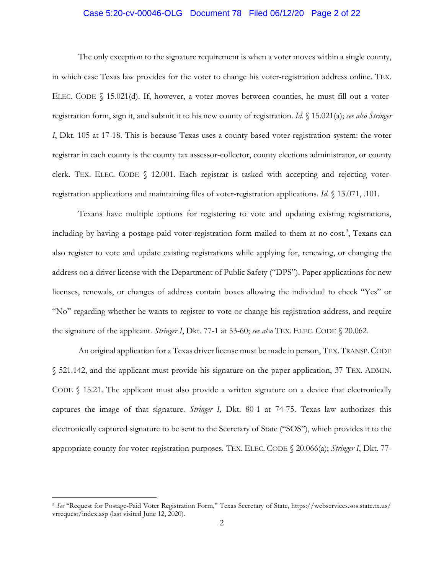### Case 5:20-cv-00046-OLG Document 78 Filed 06/12/20 Page 2 of 22

The only exception to the signature requirement is when a voter moves within a single county, in which case Texas law provides for the voter to change his voter-registration address online. TEX. ELEC. CODE § 15.021(d). If, however, a voter moves between counties, he must fill out a voterregistration form, sign it, and submit it to his new county of registration. *Id.* § 15.021(a); *see also Stringer I*, Dkt. 105 at 17-18. This is because Texas uses a county-based voter-registration system: the voter registrar in each county is the county tax assessor-collector, county elections administrator, or county clerk. TEX. ELEC. CODE § 12.001. Each registrar is tasked with accepting and rejecting voterregistration applications and maintaining files of voter-registration applications. *Id.* § 13.071, .101.

Texans have multiple options for registering to vote and updating existing registrations, including by having a postage-paid voter-registration form mailed to them at no cost.<sup>3</sup>, Texans can also register to vote and update existing registrations while applying for, renewing, or changing the address on a driver license with the Department of Public Safety ("DPS"). Paper applications for new licenses, renewals, or changes of address contain boxes allowing the individual to check "Yes" or "No" regarding whether he wants to register to vote or change his registration address, and require the signature of the applicant. *Stringer I*, Dkt. 77-1 at 53-60; *see also* TEX. ELEC. CODE § 20.062.

An original application for a Texas driver license must be made in person, TEX. TRANSP. CODE § 521.142, and the applicant must provide his signature on the paper application, 37 TEX. ADMIN. CODE  $\S$  15.21. The applicant must also provide a written signature on a device that electronically captures the image of that signature. *Stringer I,* Dkt. 80-1 at 74-75. Texas law authorizes this electronically captured signature to be sent to the Secretary of State ("SOS"), which provides it to the appropriate county for voter-registration purposes. TEX. ELEC. CODE § 20.066(a); *Stringer I*, Dkt. 77-

 $\overline{a}$ 

<sup>3</sup> *See* "Request for Postage-Paid Voter Registration Form," Texas Secretary of State, https://webservices.sos.state.tx.us/ vrrequest/index.asp (last visited June 12, 2020).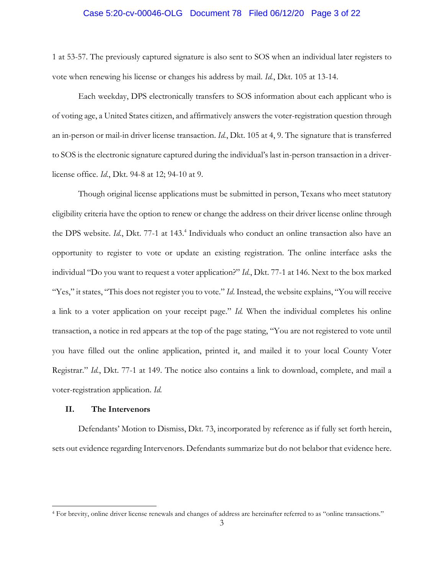#### Case 5:20-cv-00046-OLG Document 78 Filed 06/12/20 Page 3 of 22

1 at 53-57. The previously captured signature is also sent to SOS when an individual later registers to vote when renewing his license or changes his address by mail. *Id.*, Dkt. 105 at 13-14.

Each weekday, DPS electronically transfers to SOS information about each applicant who is of voting age, a United States citizen, and affirmatively answers the voter-registration question through an in-person or mail-in driver license transaction. *Id.*, Dkt. 105 at 4, 9. The signature that is transferred to SOS is the electronic signature captured during the individual's last in-person transaction in a driverlicense office. *Id.*, Dkt. 94-8 at 12; 94-10 at 9.

Though original license applications must be submitted in person, Texans who meet statutory eligibility criteria have the option to renew or change the address on their driver license online through the DPS website. *Id.*, Dkt. 77-1 at 143. 4 Individuals who conduct an online transaction also have an opportunity to register to vote or update an existing registration. The online interface asks the individual "Do you want to request a voter application?" *Id.*, Dkt. 77-1 at 146. Next to the box marked "Yes," it states, "This does not register you to vote." *Id*. Instead, the website explains, "You will receive a link to a voter application on your receipt page." *Id.* When the individual completes his online transaction, a notice in red appears at the top of the page stating, "You are not registered to vote until you have filled out the online application, printed it, and mailed it to your local County Voter Registrar." *Id.*, Dkt. 77-1 at 149. The notice also contains a link to download, complete, and mail a voter-registration application. *Id.*

#### **II. The Intervenors**

l

Defendants' Motion to Dismiss, Dkt. 73, incorporated by reference as if fully set forth herein, sets out evidence regarding Intervenors. Defendants summarize but do not belabor that evidence here.

<sup>4</sup> For brevity, online driver license renewals and changes of address are hereinafter referred to as "online transactions."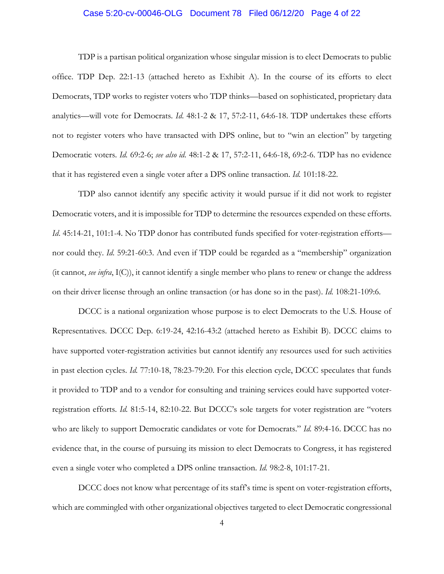### Case 5:20-cv-00046-OLG Document 78 Filed 06/12/20 Page 4 of 22

TDP is a partisan political organization whose singular mission is to elect Democrats to public office. TDP Dep. 22:1-13 (attached hereto as Exhibit A). In the course of its efforts to elect Democrats, TDP works to register voters who TDP thinks—based on sophisticated, proprietary data analytics—will vote for Democrats. *Id*. 48:1-2 & 17, 57:2-11, 64:6-18. TDP undertakes these efforts not to register voters who have transacted with DPS online, but to "win an election" by targeting Democratic voters. *Id.* 69:2-6; *see also id.* 48:1-2 & 17, 57:2-11, 64:6-18, 69:2-6. TDP has no evidence that it has registered even a single voter after a DPS online transaction. *Id.* 101:18-22.

TDP also cannot identify any specific activity it would pursue if it did not work to register Democratic voters, and it is impossible for TDP to determine the resources expended on these efforts. *Id.* 45:14-21, 101:1-4. No TDP donor has contributed funds specified for voter-registration efforts nor could they. *Id*. 59:21-60:3. And even if TDP could be regarded as a "membership" organization (it cannot, *see infra*, I(C)), it cannot identify a single member who plans to renew or change the address on their driver license through an online transaction (or has done so in the past). *Id.* 108:21-109:6.

DCCC is a national organization whose purpose is to elect Democrats to the U.S. House of Representatives. DCCC Dep. 6:19-24, 42:16-43:2 (attached hereto as Exhibit B). DCCC claims to have supported voter-registration activities but cannot identify any resources used for such activities in past election cycles. *Id.* 77:10-18, 78:23-79:20. For this election cycle, DCCC speculates that funds it provided to TDP and to a vendor for consulting and training services could have supported voterregistration efforts. *Id.* 81:5-14, 82:10-22. But DCCC's sole targets for voter registration are "voters who are likely to support Democratic candidates or vote for Democrats." *Id.* 89:4-16. DCCC has no evidence that, in the course of pursuing its mission to elect Democrats to Congress, it has registered even a single voter who completed a DPS online transaction. *Id.* 98:2-8, 101:17-21.

DCCC does not know what percentage of its staff's time is spent on voter-registration efforts, which are commingled with other organizational objectives targeted to elect Democratic congressional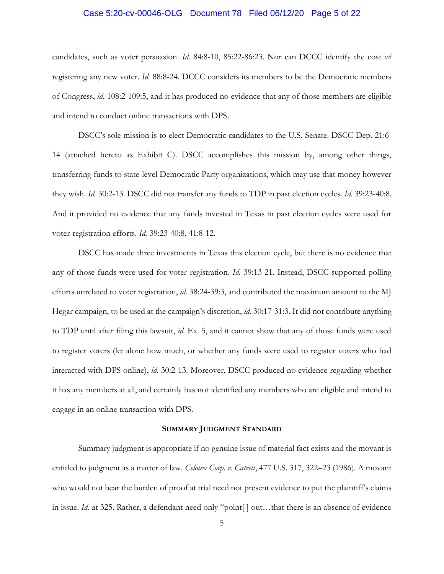### Case 5:20-cv-00046-OLG Document 78 Filed 06/12/20 Page 5 of 22

candidates, such as voter persuasion. *Id.* 84:8-10, 85:22-86:23. Nor can DCCC identify the cost of registering any new voter. *Id.* 88:8-24. DCCC considers its members to be the Democratic members of Congress, *id.* 108:2-109:5, and it has produced no evidence that any of those members are eligible and intend to conduct online transactions with DPS.

DSCC's sole mission is to elect Democratic candidates to the U.S. Senate. DSCC Dep. 21:6- 14 (attached hereto as Exhibit C). DSCC accomplishes this mission by, among other things, transferring funds to state-level Democratic Party organizations, which may use that money however they wish. *Id.* 30:2-13. DSCC did not transfer any funds to TDP in past election cycles. *Id.* 39:23-40:8. And it provided no evidence that any funds invested in Texas in past election cycles were used for voter-registration efforts. *Id.* 39:23-40:8, 41:8-12.

DSCC has made three investments in Texas this election cycle, but there is no evidence that any of those funds were used for voter registration. *Id.* 39:13-21. Instead, DSCC supported polling efforts unrelated to voter registration, *id.* 38:24-39:3, and contributed the maximum amount to the MJ Hegar campaign, to be used at the campaign's discretion, *id.* 30:17-31:3. It did not contribute anything to TDP until after filing this lawsuit, *id.* Ex. 5, and it cannot show that any of those funds were used to register voters (let alone how much, or whether any funds were used to register voters who had interacted with DPS online), *id.* 30:2-13. Moreover, DSCC produced no evidence regarding whether it has any members at all, and certainly has not identified any members who are eligible and intend to engage in an online transaction with DPS.

#### **SUMMARY JUDGMENT STANDARD**

Summary judgment is appropriate if no genuine issue of material fact exists and the movant is entitled to judgment as a matter of law. *Celotex Corp. v. Catrett*, 477 U.S. 317, 322–23 (1986). A movant who would not bear the burden of proof at trial need not present evidence to put the plaintiff's claims in issue. *Id.* at 325. Rather, a defendant need only "point[ ] out…that there is an absence of evidence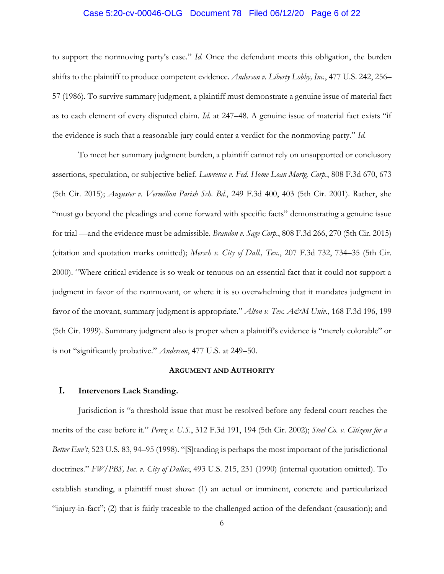### Case 5:20-cv-00046-OLG Document 78 Filed 06/12/20 Page 6 of 22

to support the nonmoving party's case." *Id.* Once the defendant meets this obligation, the burden shifts to the plaintiff to produce competent evidence. *Anderson v. Liberty Lobby, Inc.*, 477 U.S. 242, 256– 57 (1986). To survive summary judgment, a plaintiff must demonstrate a genuine issue of material fact as to each element of every disputed claim. *Id.* at 247–48. A genuine issue of material fact exists "if the evidence is such that a reasonable jury could enter a verdict for the nonmoving party." *Id.*

To meet her summary judgment burden, a plaintiff cannot rely on unsupported or conclusory assertions, speculation, or subjective belief. *Lawrence v. Fed. Home Loan Mortg. Corp.*, 808 F.3d 670, 673 (5th Cir. 2015); *Auguster v. Vermilion Parish Sch. Bd.*, 249 F.3d 400, 403 (5th Cir. 2001). Rather, she "must go beyond the pleadings and come forward with specific facts" demonstrating a genuine issue for trial —and the evidence must be admissible. *Brandon v. Sage Corp.*, 808 F.3d 266, 270 (5th Cir. 2015) (citation and quotation marks omitted); *Mersch v. City of Dall., Tex.*, 207 F.3d 732, 734–35 (5th Cir. 2000). "Where critical evidence is so weak or tenuous on an essential fact that it could not support a judgment in favor of the nonmovant, or where it is so overwhelming that it mandates judgment in favor of the movant, summary judgment is appropriate." *Alton v. Tex. A&M Univ.*, 168 F.3d 196, 199 (5th Cir. 1999). Summary judgment also is proper when a plaintiff's evidence is "merely colorable" or is not "significantly probative." *Anderson*, 477 U.S. at 249–50.

#### **ARGUMENT AND AUTHORITY**

# **I. Intervenors Lack Standing.**

Jurisdiction is "a threshold issue that must be resolved before any federal court reaches the merits of the case before it." *Perez v. U.S.*, 312 F.3d 191, 194 (5th Cir. 2002); *Steel Co. v. Citizens for a Better Env't*, 523 U.S. 83, 94–95 (1998). "[S]tanding is perhaps the most important of the jurisdictional doctrines." *FW/PBS, Inc. v. City of Dallas*, 493 U.S. 215, 231 (1990) (internal quotation omitted). To establish standing, a plaintiff must show: (1) an actual or imminent, concrete and particularized "injury-in-fact"; (2) that is fairly traceable to the challenged action of the defendant (causation); and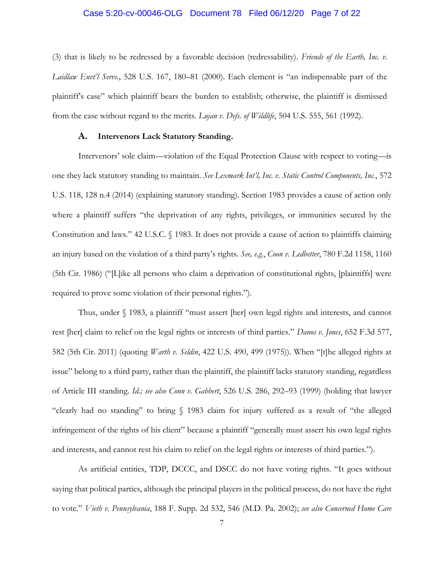### Case 5:20-cv-00046-OLG Document 78 Filed 06/12/20 Page 7 of 22

(3) that is likely to be redressed by a favorable decision (redressability). *Friends of the Earth, Inc. v. Laidlaw Envt'l Servs.*, 528 U.S. 167, 180–81 (2000). Each element is "an indispensable part of the plaintiff's case" which plaintiff bears the burden to establish; otherwise, the plaintiff is dismissed from the case without regard to the merits. *Lujan v. Defs. of Wildlife*, 504 U.S. 555, 561 (1992).

#### **A. Intervenors Lack Statutory Standing.**

Intervenors' sole claim—violation of the Equal Protection Clause with respect to voting—is one they lack statutory standing to maintain. *See Lexmark Int'l, Inc. v. Static Control Components, Inc*., 572 U.S. 118, 128 n.4 (2014) (explaining statutory standing). Section 1983 provides a cause of action only where a plaintiff suffers "the deprivation of any rights, privileges, or immunities secured by the Constitution and laws." 42 U.S.C. § 1983. It does not provide a cause of action to plaintiffs claiming an injury based on the violation of a third party's rights*. See, e.g.*, *Coon v. Ledbetter*, 780 F.2d 1158, 1160 (5th Cir. 1986) ("[L]ike all persons who claim a deprivation of constitutional rights, [plaintiffs] were required to prove some violation of their personal rights.").

Thus, under § 1983, a plaintiff "must assert [her] own legal rights and interests, and cannot rest [her] claim to relief on the legal rights or interests of third parties." *Danos v. Jones*, 652 F.3d 577, 582 (5th Cir. 2011) (quoting *Warth v. Seldin*, 422 U.S. 490, 499 (1975)). When "[t]he alleged rights at issue" belong to a third party, rather than the plaintiff, the plaintiff lacks statutory standing, regardless of Article III standing*. Id.; see also Conn v. Gabbert*, 526 U.S. 286, 292–93 (1999) (holding that lawyer "clearly had no standing" to bring § 1983 claim for injury suffered as a result of "the alleged infringement of the rights of his client" because a plaintiff "generally must assert his own legal rights and interests, and cannot rest his claim to relief on the legal rights or interests of third parties.").

As artificial entities, TDP, DCCC, and DSCC do not have voting rights. "It goes without saying that political parties, although the principal players in the political process, do not have the right to vote." *Vieth v. Pennsylvania*, 188 F. Supp. 2d 532, 546 (M.D. Pa. 2002); *see also Concerned Home Care*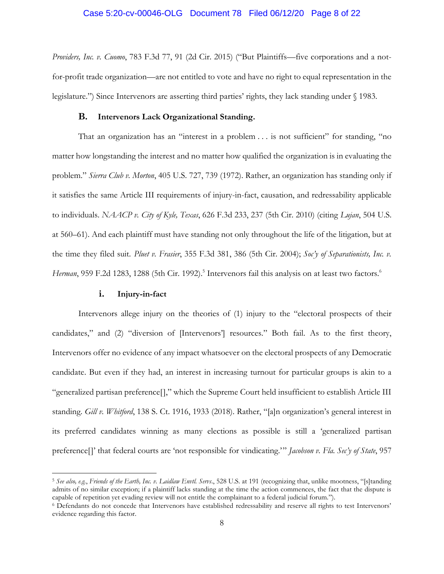#### Case 5:20-cv-00046-OLG Document 78 Filed 06/12/20 Page 8 of 22

*Providers, Inc. v. Cuomo*, 783 F.3d 77, 91 (2d Cir. 2015) ("But Plaintiffs—five corporations and a notfor-profit trade organization—are not entitled to vote and have no right to equal representation in the legislature.") Since Intervenors are asserting third parties' rights, they lack standing under § 1983.

#### **B. Intervenors Lack Organizational Standing.**

That an organization has an "interest in a problem . . . is not sufficient" for standing, "no matter how longstanding the interest and no matter how qualified the organization is in evaluating the problem." *Sierra Club v. Morton*, 405 U.S. 727, 739 (1972). Rather, an organization has standing only if it satisfies the same Article III requirements of injury-in-fact, causation, and redressability applicable to individuals. *NAACP v. City of Kyle, Texas*, 626 F.3d 233, 237 (5th Cir. 2010) (citing *Lujan*, 504 U.S. at 560–61). And each plaintiff must have standing not only throughout the life of the litigation, but at the time they filed suit. *Pluet v. Frasier*, 355 F.3d 381, 386 (5th Cir. 2004); *Soc'y of Separationists, Inc. v.*  Herman, 959 F.2d 1283, 1288 (5th Cir. 1992).<sup>5</sup> Intervenors fail this analysis on at least two factors.<sup>6</sup>

#### **i. Injury-in-fact**

l

Intervenors allege injury on the theories of (1) injury to the "electoral prospects of their candidates," and (2) "diversion of [Intervenors'] resources." Both fail. As to the first theory, Intervenors offer no evidence of any impact whatsoever on the electoral prospects of any Democratic candidate. But even if they had, an interest in increasing turnout for particular groups is akin to a "generalized partisan preference[]," which the Supreme Court held insufficient to establish Article III standing. *Gill v. Whitford*, 138 S. Ct. 1916, 1933 (2018). Rather, "[a]n organization's general interest in its preferred candidates winning as many elections as possible is still a 'generalized partisan preference[]' that federal courts are 'not responsible for vindicating.'" *Jacobson v. Fla. Sec'y of State*, 957

<sup>5</sup> *See also, e.g.*, *Friends of the Earth, Inc. v. Laidlaw Envtl. Servs*., 528 U.S. at 191 (recognizing that, unlike mootness, "[s]tanding admits of no similar exception; if a plaintiff lacks standing at the time the action commences, the fact that the dispute is capable of repetition yet evading review will not entitle the complainant to a federal judicial forum.").

<sup>6</sup> Defendants do not concede that Intervenors have established redressability and reserve all rights to test Intervenors' evidence regarding this factor.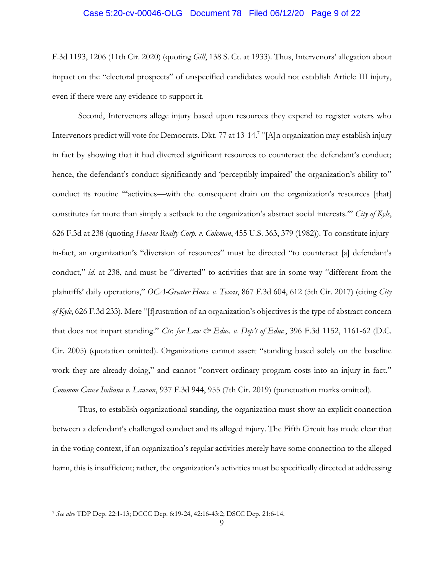### Case 5:20-cv-00046-OLG Document 78 Filed 06/12/20 Page 9 of 22

F.3d 1193, 1206 (11th Cir. 2020) (quoting *Gill*, 138 S. Ct. at 1933). Thus, Intervenors' allegation about impact on the "electoral prospects" of unspecified candidates would not establish Article III injury, even if there were any evidence to support it.

Second, Intervenors allege injury based upon resources they expend to register voters who Intervenors predict will vote for Democrats. Dkt. 77 at 13-14.<sup>7</sup> "[A]n organization may establish injury in fact by showing that it had diverted significant resources to counteract the defendant's conduct; hence, the defendant's conduct significantly and 'perceptibly impaired' the organization's ability to'' conduct its routine "'activities—with the consequent drain on the organization's resources [that] constitutes far more than simply a setback to the organization's abstract social interests.'" *City of Kyle*, 626 F.3d at 238 (quoting *Havens Realty Corp. v. Coleman*, 455 U.S. 363, 379 (1982)). To constitute injuryin-fact, an organization's "diversion of resources" must be directed "to counteract [a] defendant's conduct," *id.* at 238, and must be "diverted" to activities that are in some way "different from the plaintiffs' daily operations," *OCA-Greater Hous. v. Texas*, 867 F.3d 604, 612 (5th Cir. 2017) (citing *City of Kyle*, 626 F.3d 233). Mere "[f]rustration of an organization's objectives is the type of abstract concern that does not impart standing." *Ctr. for Law & Educ. v. Dep't of Educ.*, 396 F.3d 1152, 1161-62 (D.C. Cir. 2005) (quotation omitted). Organizations cannot assert "standing based solely on the baseline work they are already doing," and cannot "convert ordinary program costs into an injury in fact." *Common Cause Indiana v. Lawson*, 937 F.3d 944, 955 (7th Cir. 2019) (punctuation marks omitted).

Thus, to establish organizational standing, the organization must show an explicit connection between a defendant's challenged conduct and its alleged injury. The Fifth Circuit has made clear that in the voting context, if an organization's regular activities merely have some connection to the alleged harm, this is insufficient; rather, the organization's activities must be specifically directed at addressing

l

<sup>7</sup> *See also* TDP Dep. 22:1-13; DCCC Dep. 6:19-24, 42:16-43:2; DSCC Dep. 21:6-14.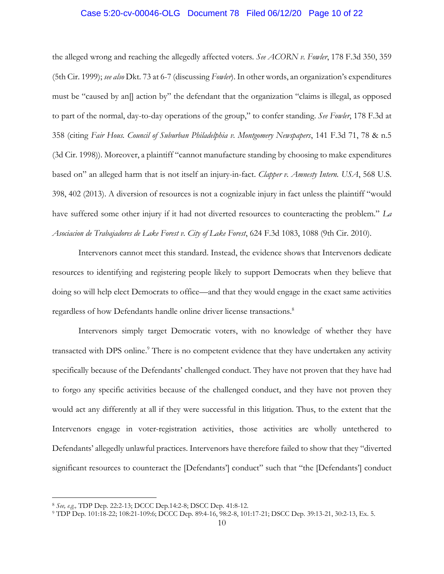### Case 5:20-cv-00046-OLG Document 78 Filed 06/12/20 Page 10 of 22

the alleged wrong and reaching the allegedly affected voters. *See ACORN v. Fowler*, 178 F.3d 350, 359 (5th Cir. 1999); *see also* Dkt. 73 at 6-7 (discussing *Fowler*). In other words, an organization's expenditures must be "caused by an[] action by" the defendant that the organization "claims is illegal, as opposed to part of the normal, day-to-day operations of the group," to confer standing. *See Fowler*, 178 F.3d at 358 (citing *Fair Hous. Council of Suburban Philadelphia v. Montgomery Newspapers*, 141 F.3d 71, 78 & n.5 (3d Cir. 1998)). Moreover, a plaintiff "cannot manufacture standing by choosing to make expenditures based on" an alleged harm that is not itself an injury-in-fact. *Clapper v. Amnesty Intern. USA*, 568 U.S. 398, 402 (2013). A diversion of resources is not a cognizable injury in fact unless the plaintiff "would have suffered some other injury if it had not diverted resources to counteracting the problem." *La Asociacion de Trabajadores de Lake Forest v. City of Lake Forest*, 624 F.3d 1083, 1088 (9th Cir. 2010).

Intervenors cannot meet this standard. Instead, the evidence shows that Intervenors dedicate resources to identifying and registering people likely to support Democrats when they believe that doing so will help elect Democrats to office—and that they would engage in the exact same activities regardless of how Defendants handle online driver license transactions. 8

Intervenors simply target Democratic voters, with no knowledge of whether they have transacted with DPS online.<sup>9</sup> There is no competent evidence that they have undertaken any activity specifically because of the Defendants' challenged conduct. They have not proven that they have had to forgo any specific activities because of the challenged conduct, and they have not proven they would act any differently at all if they were successful in this litigation. Thus, to the extent that the Intervenors engage in voter-registration activities, those activities are wholly untethered to Defendants' allegedly unlawful practices. Intervenors have therefore failed to show that they "diverted significant resources to counteract the [Defendants'] conduct" such that "the [Defendants'] conduct

 $\overline{a}$ 

<sup>8</sup> *See, e.g.,* TDP Dep. 22:2-13; DCCC Dep.14:2-8; DSCC Dep. 41:8-12.

<sup>9</sup> TDP Dep. 101:18-22; 108:21-109:6; DCCC Dep. 89:4-16, 98:2-8, 101:17-21; DSCC Dep. 39:13-21, 30:2-13, Ex. 5.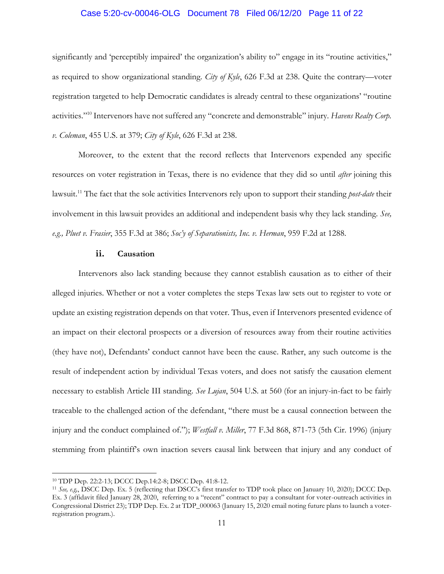### Case 5:20-cv-00046-OLG Document 78 Filed 06/12/20 Page 11 of 22

significantly and 'perceptibly impaired' the organization's ability to" engage in its "routine activities," as required to show organizational standing. *City of Kyle*, 626 F.3d at 238. Quite the contrary—voter registration targeted to help Democratic candidates is already central to these organizations' "routine activities."<sup>10</sup> Intervenors have not suffered any "concrete and demonstrable" injury. *Havens Realty Corp. v. Coleman*, 455 U.S. at 379; *City of Kyle*, 626 F.3d at 238.

Moreover, to the extent that the record reflects that Intervenors expended any specific resources on voter registration in Texas, there is no evidence that they did so until *after* joining this lawsuit.<sup>11</sup> The fact that the sole activities Intervenors rely upon to support their standing *post-date* their involvement in this lawsuit provides an additional and independent basis why they lack standing*. See, e.g., Pluet v. Frasier*, 355 F.3d at 386; *Soc'y of Separationists, Inc. v. Herman*, 959 F.2d at 1288.

#### **ii. Causation**

Intervenors also lack standing because they cannot establish causation as to either of their alleged injuries. Whether or not a voter completes the steps Texas law sets out to register to vote or update an existing registration depends on that voter. Thus, even if Intervenors presented evidence of an impact on their electoral prospects or a diversion of resources away from their routine activities (they have not), Defendants' conduct cannot have been the cause. Rather, any such outcome is the result of independent action by individual Texas voters, and does not satisfy the causation element necessary to establish Article III standing. *See Lujan*, 504 U.S. at 560 (for an injury-in-fact to be fairly traceable to the challenged action of the defendant, "there must be a causal connection between the injury and the conduct complained of."); *Westfall v. Miller*, 77 F.3d 868, 871-73 (5th Cir. 1996) (injury stemming from plaintiff's own inaction severs causal link between that injury and any conduct of

l

<sup>10</sup> TDP Dep. 22:2-13; DCCC Dep.14:2-8; DSCC Dep. 41:8-12.

<sup>11</sup> *See, e.g,*, DSCC Dep. Ex. 5 (reflecting that DSCC's first transfer to TDP took place on January 10, 2020); DCCC Dep. Ex. 3 (affidavit filed January 28, 2020, referring to a "recent" contract to pay a consultant for voter-outreach activities in Congressional District 23); TDP Dep. Ex. 2 at TDP\_000063 (January 15, 2020 email noting future plans to launch a voterregistration program.).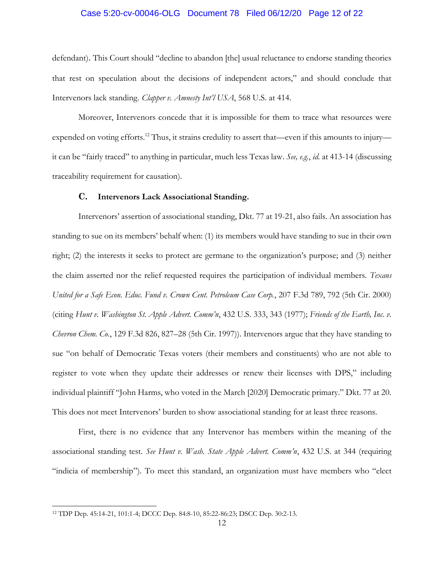### Case 5:20-cv-00046-OLG Document 78 Filed 06/12/20 Page 12 of 22

defendant). This Court should "decline to abandon [the] usual reluctance to endorse standing theories that rest on speculation about the decisions of independent actors," and should conclude that Intervenors lack standing. *Clapper v. Amnesty Int'l USA*, 568 U.S. at 414.

Moreover, Intervenors concede that it is impossible for them to trace what resources were expended on voting efforts.<sup>12</sup> Thus, it strains credulity to assert that—even if this amounts to injury it can be "fairly traced" to anything in particular, much less Texas law. *See, e.g.*, *id.* at 413-14 (discussing traceability requirement for causation).

#### **C. Intervenors Lack Associational Standing.**

Intervenors' assertion of associational standing, Dkt. 77 at 19-21, also fails. An association has standing to sue on its members' behalf when: (1) its members would have standing to sue in their own right; (2) the interests it seeks to protect are germane to the organization's purpose; and (3) neither the claim asserted nor the relief requested requires the participation of individual members. *Texans United for a Safe Econ. Educ. Fund v. Crown Cent. Petroleum Case Corp.*, 207 F.3d 789, 792 (5th Cir. 2000) (citing *Hunt v. Washington St. Apple Advert. Comm'n*, 432 U.S. 333, 343 (1977); *Friends of the Earth, Inc. v. Chevron Chem. Co.*, 129 F.3d 826, 827–28 (5th Cir. 1997)). Intervenors argue that they have standing to sue "on behalf of Democratic Texas voters (their members and constituents) who are not able to register to vote when they update their addresses or renew their licenses with DPS," including individual plaintiff "John Harms, who voted in the March [2020] Democratic primary." Dkt. 77 at 20. This does not meet Intervenors' burden to show associational standing for at least three reasons.

First, there is no evidence that any Intervenor has members within the meaning of the associational standing test. *See Hunt v. Wash. State Apple Advert. Comm'n*, 432 U.S. at 344 (requiring "indicia of membership"). To meet this standard, an organization must have members who "elect

l

<sup>12</sup> TDP Dep. 45:14-21, 101:1-4; DCCC Dep. 84:8-10, 85:22-86:23; DSCC Dep. 30:2-13.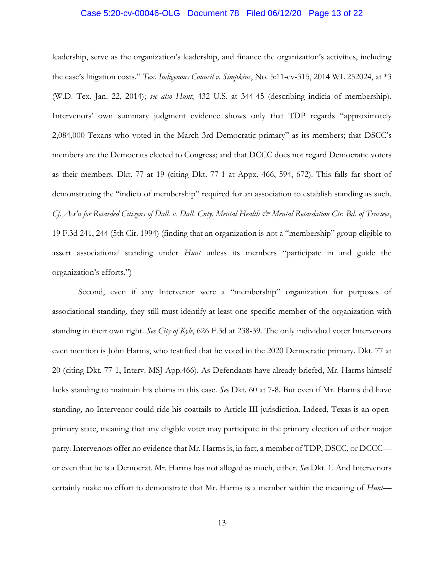### Case 5:20-cv-00046-OLG Document 78 Filed 06/12/20 Page 13 of 22

leadership, serve as the organization's leadership, and finance the organization's activities, including the case's litigation costs." *Tex. Indigenous Council v. Simpkins*, No. 5:11-cv-315, 2014 WL 252024, at \*3 (W.D. Tex. Jan. 22, 2014); *see also Hunt*, 432 U.S. at 344-45 (describing indicia of membership). Intervenors' own summary judgment evidence shows only that TDP regards "approximately 2,084,000 Texans who voted in the March 3rd Democratic primary" as its members; that DSCC's members are the Democrats elected to Congress; and that DCCC does not regard Democratic voters as their members. Dkt. 77 at 19 (citing Dkt. 77-1 at Appx. 466, 594, 672). This falls far short of demonstrating the "indicia of membership" required for an association to establish standing as such. *Cf. Ass'n for Retarded Citizens of Dall. v. Dall. Cnty. Mental Health & Mental Retardation Ctr. Bd. of Trustees*, 19 F.3d 241, 244 (5th Cir. 1994) (finding that an organization is not a "membership" group eligible to assert associational standing under *Hunt* unless its members "participate in and guide the organization's efforts.")

Second, even if any Intervenor were a "membership" organization for purposes of associational standing, they still must identify at least one specific member of the organization with standing in their own right. *See City of Kyle*, 626 F.3d at 238-39. The only individual voter Intervenors even mention is John Harms, who testified that he voted in the 2020 Democratic primary. Dkt. 77 at 20 (citing Dkt. 77-1, Interv. MSJ App.466). As Defendants have already briefed, Mr. Harms himself lacks standing to maintain his claims in this case. *See* Dkt. 60 at 7-8. But even if Mr. Harms did have standing, no Intervenor could ride his coattails to Article III jurisdiction. Indeed, Texas is an openprimary state, meaning that any eligible voter may participate in the primary election of either major party. Intervenors offer no evidence that Mr. Harms is, in fact, a member of TDP, DSCC, or DCCC or even that he is a Democrat. Mr. Harms has not alleged as much, either. *See* Dkt. 1. And Intervenors certainly make no effort to demonstrate that Mr. Harms is a member within the meaning of *Hunt*—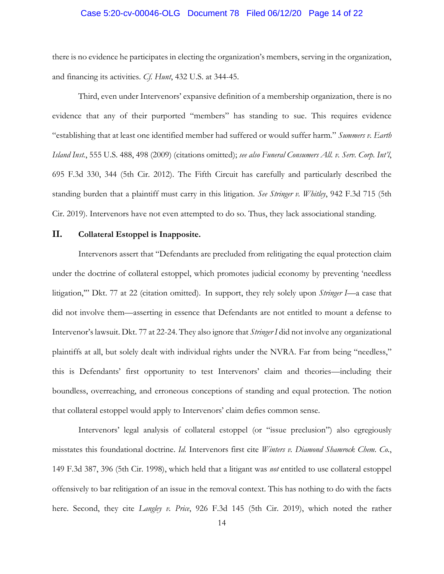### Case 5:20-cv-00046-OLG Document 78 Filed 06/12/20 Page 14 of 22

there is no evidence he participates in electing the organization's members, serving in the organization, and financing its activities. *Cf. Hunt*, 432 U.S. at 344-45.

Third, even under Intervenors' expansive definition of a membership organization, there is no evidence that any of their purported "members" has standing to sue. This requires evidence "establishing that at least one identified member had suffered or would suffer harm." *Summers v. Earth Island Inst.*, 555 U.S. 488, 498 (2009) (citations omitted); *see also Funeral Consumers All. v. Serv. Corp. Int'l*, 695 F.3d 330, 344 (5th Cir. 2012). The Fifth Circuit has carefully and particularly described the standing burden that a plaintiff must carry in this litigation. *See Stringer v. Whitley*, 942 F.3d 715 (5th Cir. 2019). Intervenors have not even attempted to do so. Thus, they lack associational standing.

#### **II. Collateral Estoppel is Inapposite.**

Intervenors assert that "Defendants are precluded from relitigating the equal protection claim under the doctrine of collateral estoppel, which promotes judicial economy by preventing 'needless litigation,'" Dkt. 77 at 22 (citation omitted). In support, they rely solely upon *Stringer I*—a case that did not involve them—asserting in essence that Defendants are not entitled to mount a defense to Intervenor's lawsuit. Dkt. 77 at 22-24. They also ignore that *Stringer I* did not involve any organizational plaintiffs at all, but solely dealt with individual rights under the NVRA. Far from being "needless," this is Defendants' first opportunity to test Intervenors' claim and theories—including their boundless, overreaching, and erroneous conceptions of standing and equal protection. The notion that collateral estoppel would apply to Intervenors' claim defies common sense.

Intervenors' legal analysis of collateral estoppel (or "issue preclusion") also egregiously misstates this foundational doctrine. *Id.* Intervenors first cite *Winters v. Diamond Shamrock Chem. Co.*, 149 F.3d 387, 396 (5th Cir. 1998), which held that a litigant was *not* entitled to use collateral estoppel offensively to bar relitigation of an issue in the removal context. This has nothing to do with the facts here. Second, they cite *Langley v. Price*, 926 F.3d 145 (5th Cir. 2019), which noted the rather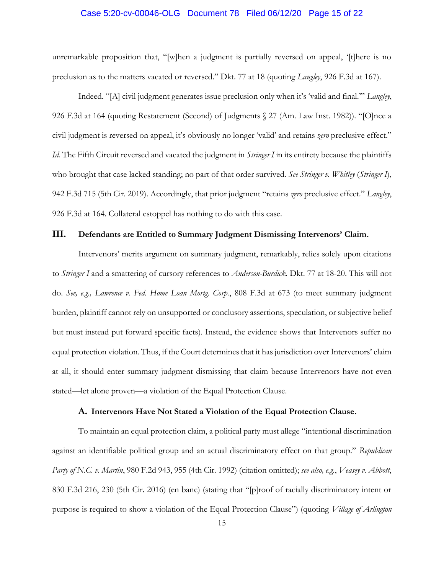#### Case 5:20-cv-00046-OLG Document 78 Filed 06/12/20 Page 15 of 22

unremarkable proposition that, "[w]hen a judgment is partially reversed on appeal, '[t]here is no preclusion as to the matters vacated or reversed." Dkt. 77 at 18 (quoting *Langley*, 926 F.3d at 167).

Indeed. "[A] civil judgment generates issue preclusion only when it's 'valid and final.'" *Langley*, 926 F.3d at 164 (quoting Restatement (Second) of Judgments § 27 (Am. Law Inst. 1982)). "[O]nce a civil judgment is reversed on appeal, it's obviously no longer 'valid' and retains *zero* preclusive effect." *Id.* The Fifth Circuit reversed and vacated the judgment in *Stringer I* in its entirety because the plaintiffs who brought that case lacked standing; no part of that order survived. *See Stringer v. Whitley* (*Stringer I*), 942 F.3d 715 (5th Cir. 2019). Accordingly, that prior judgment "retains *zero* preclusive effect." *Langley*, 926 F.3d at 164. Collateral estoppel has nothing to do with this case.

# **III. Defendants are Entitled to Summary Judgment Dismissing Intervenors' Claim.**

Intervenors' merits argument on summary judgment, remarkably, relies solely upon citations to *Stringer I* and a smattering of cursory references to *Anderson-Burdick*. Dkt. 77 at 18-20. This will not do. *See, e.g., Lawrence v. Fed. Home Loan Mortg. Corp.*, 808 F.3d at 673 (to meet summary judgment burden, plaintiff cannot rely on unsupported or conclusory assertions, speculation, or subjective belief but must instead put forward specific facts). Instead, the evidence shows that Intervenors suffer no equal protection violation. Thus, if the Court determines that it has jurisdiction over Intervenors' claim at all, it should enter summary judgment dismissing that claim because Intervenors have not even stated—let alone proven—a violation of the Equal Protection Clause.

#### **A. Intervenors Have Not Stated a Violation of the Equal Protection Clause.**

To maintain an equal protection claim, a political party must allege "intentional discrimination against an identifiable political group and an actual discriminatory effect on that group." *Republican Party of N.C. v. Martin*, 980 F.2d 943, 955 (4th Cir. 1992) (citation omitted); *see also, e.g.*, *Veasey v. Abbott*, 830 F.3d 216, 230 (5th Cir. 2016) (en banc) (stating that "[p]roof of racially discriminatory intent or purpose is required to show a violation of the Equal Protection Clause") (quoting *Village of Arlington*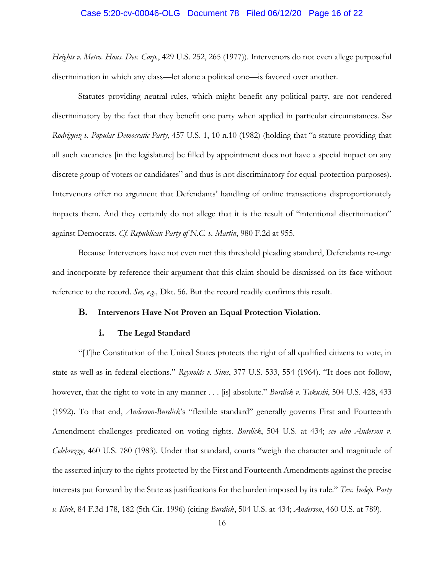# Case 5:20-cv-00046-OLG Document 78 Filed 06/12/20 Page 16 of 22

*Heights v. Metro. Hous. Dev. Corp.*, 429 U.S. 252, 265 (1977)). Intervenors do not even allege purposeful discrimination in which any class—let alone a political one—is favored over another.

Statutes providing neutral rules, which might benefit any political party, are not rendered discriminatory by the fact that they benefit one party when applied in particular circumstances. S*ee Rodriguez v. Popular Democratic Party*, 457 U.S. 1, 10 n.10 (1982) (holding that "a statute providing that all such vacancies [in the legislature] be filled by appointment does not have a special impact on any discrete group of voters or candidates" and thus is not discriminatory for equal-protection purposes). Intervenors offer no argument that Defendants' handling of online transactions disproportionately impacts them. And they certainly do not allege that it is the result of "intentional discrimination" against Democrats. *Cf. Republican Party of N.C. v. Martin*, 980 F.2d at 955.

Because Intervenors have not even met this threshold pleading standard, Defendants re-urge and incorporate by reference their argument that this claim should be dismissed on its face without reference to the record. *See, e.g.,* Dkt. 56. But the record readily confirms this result.

## **B. Intervenors Have Not Proven an Equal Protection Violation.**

#### **i. The Legal Standard**

"[T]he Constitution of the United States protects the right of all qualified citizens to vote, in state as well as in federal elections." *Reynolds v. Sims*, 377 U.S. 533, 554 (1964). "It does not follow, however, that the right to vote in any manner . . . [is] absolute." *Burdick v. Takushi*, 504 U.S. 428, 433 (1992). To that end, *Anderson-Burdick*'s "flexible standard" generally governs First and Fourteenth Amendment challenges predicated on voting rights. *Burdick*, 504 U.S. at 434; *see also Anderson v. Celebrezze*, 460 U.S. 780 (1983). Under that standard, courts "weigh the character and magnitude of the asserted injury to the rights protected by the First and Fourteenth Amendments against the precise interests put forward by the State as justifications for the burden imposed by its rule." *Tex. Indep. Party v. Kirk*, 84 F.3d 178, 182 (5th Cir. 1996) (citing *Burdick*, 504 U.S. at 434; *Anderson*, 460 U.S. at 789).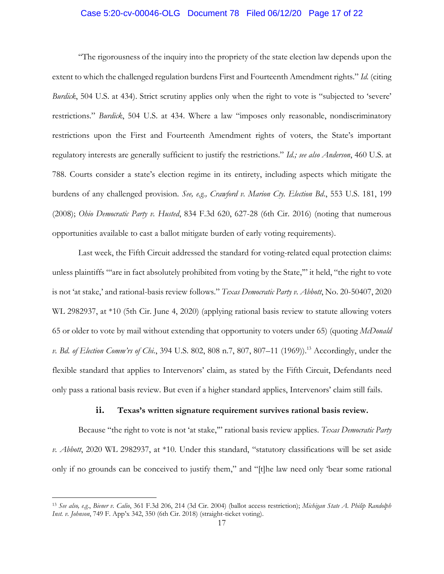### Case 5:20-cv-00046-OLG Document 78 Filed 06/12/20 Page 17 of 22

"The rigorousness of the inquiry into the propriety of the state election law depends upon the extent to which the challenged regulation burdens First and Fourteenth Amendment rights." *Id.* (citing *Burdick*, 504 U.S. at 434). Strict scrutiny applies only when the right to vote is "subjected to 'severe' restrictions." *Burdick*, 504 U.S. at 434. Where a law "imposes only reasonable, nondiscriminatory restrictions upon the First and Fourteenth Amendment rights of voters, the State's important regulatory interests are generally sufficient to justify the restrictions." *Id.; see also Anderson*, 460 U.S. at 788. Courts consider a state's election regime in its entirety, including aspects which mitigate the burdens of any challenged provision. *See, e.g., Crawford v. Marion Cty. Election Bd*., 553 U.S. 181, 199 (2008); *Ohio Democratic Party v. Husted*, 834 F.3d 620, 627-28 (6th Cir. 2016) (noting that numerous opportunities available to cast a ballot mitigate burden of early voting requirements).

Last week, the Fifth Circuit addressed the standard for voting-related equal protection claims: unless plaintiffs "'are in fact absolutely prohibited from voting by the State,'" it held, "the right to vote is not 'at stake,' and rational-basis review follows." *Texas Democratic Party v. Abbott*, No. 20-50407, 2020 WL 2982937, at \*10 (5th Cir. June 4, 2020) (applying rational basis review to statute allowing voters 65 or older to vote by mail without extending that opportunity to voters under 65) (quoting *McDonald v. Bd. of Election Comm'rs of Chi.*, 394 U.S. 802, 808 n.7, 807, 807–11 (1969)).<sup>13</sup> Accordingly, under the flexible standard that applies to Intervenors' claim, as stated by the Fifth Circuit, Defendants need only pass a rational basis review. But even if a higher standard applies, Intervenors' claim still fails.

#### **ii. Texas's written signature requirement survives rational basis review.**

Because "the right to vote is not 'at stake,'" rational basis review applies. *Texas Democratic Party v. Abbott*, 2020 WL 2982937, at \*10. Under this standard, "statutory classifications will be set aside only if no grounds can be conceived to justify them," and "[t]he law need only 'bear some rational

 $\overline{a}$ 

<sup>13</sup> *See also, e.g.*, *Biener v. Calio*, 361 F.3d 206, 214 (3d Cir. 2004) (ballot access restriction); *Michigan State A. Philip Randolph Inst. v. Johnson*, 749 F. App'x 342, 350 (6th Cir. 2018) (straight-ticket voting).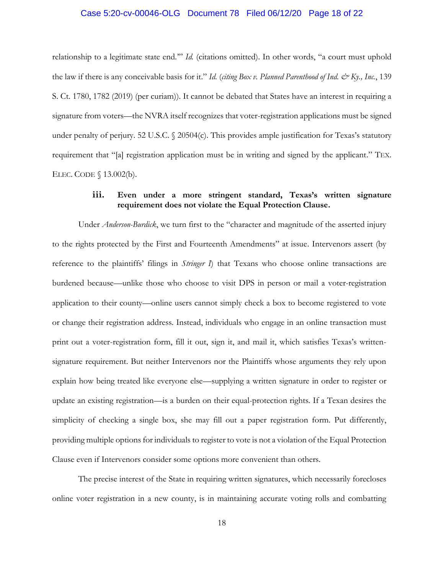### Case 5:20-cv-00046-OLG Document 78 Filed 06/12/20 Page 18 of 22

relationship to a legitimate state end.'" *Id.* (citations omitted). In other words, "a court must uphold the law if there is any conceivable basis for it." *Id.* (*citing Box v. Planned Parenthood of Ind. & Ky., Inc.*, 139 S. Ct. 1780, 1782 (2019) (per curiam)). It cannot be debated that States have an interest in requiring a signature from voters—the NVRA itself recognizes that voter-registration applications must be signed under penalty of perjury. 52 U.S.C.  $\Diamond$  20504(c). This provides ample justification for Texas's statutory requirement that "[a] registration application must be in writing and signed by the applicant." TEX. ELEC. CODE § 13.002(b).

# **iii. Even under a more stringent standard, Texas's written signature requirement does not violate the Equal Protection Clause.**

Under *Anderson-Burdick*, we turn first to the "character and magnitude of the asserted injury to the rights protected by the First and Fourteenth Amendments" at issue. Intervenors assert (by reference to the plaintiffs' filings in *Stringer I*) that Texans who choose online transactions are burdened because—unlike those who choose to visit DPS in person or mail a voter-registration application to their county—online users cannot simply check a box to become registered to vote or change their registration address. Instead, individuals who engage in an online transaction must print out a voter-registration form, fill it out, sign it, and mail it, which satisfies Texas's writtensignature requirement. But neither Intervenors nor the Plaintiffs whose arguments they rely upon explain how being treated like everyone else—supplying a written signature in order to register or update an existing registration—is a burden on their equal-protection rights. If a Texan desires the simplicity of checking a single box, she may fill out a paper registration form. Put differently, providing multiple options for individuals to register to vote is not a violation of the Equal Protection Clause even if Intervenors consider some options more convenient than others.

The precise interest of the State in requiring written signatures, which necessarily forecloses online voter registration in a new county, is in maintaining accurate voting rolls and combatting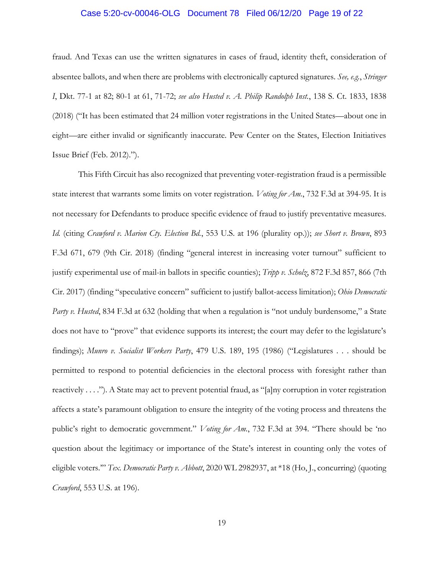#### Case 5:20-cv-00046-OLG Document 78 Filed 06/12/20 Page 19 of 22

fraud. And Texas can use the written signatures in cases of fraud, identity theft, consideration of absentee ballots, and when there are problems with electronically captured signatures. *See, e.g.*, *Stringer I*, Dkt. 77-1 at 82; 80-1 at 61, 71-72; *see also Husted v. A. Philip Randolph Inst.*, 138 S. Ct. 1833, 1838 (2018) ("It has been estimated that 24 million voter registrations in the United States—about one in eight—are either invalid or significantly inaccurate. Pew Center on the States, Election Initiatives Issue Brief (Feb. 2012).").

This Fifth Circuit has also recognized that preventing voter-registration fraud is a permissible state interest that warrants some limits on voter registration. *Voting for Am.*, 732 F.3d at 394-95. It is not necessary for Defendants to produce specific evidence of fraud to justify preventative measures. *Id.* (citing *Crawford v. Marion Cty. Election Bd.*, 553 U.S. at 196 (plurality op.)); *see Short v. Brown*, 893 F.3d 671, 679 (9th Cir. 2018) (finding "general interest in increasing voter turnout" sufficient to justify experimental use of mail-in ballots in specific counties); *Tripp v. Scholz*, 872 F.3d 857, 866 (7th Cir. 2017) (finding "speculative concern" sufficient to justify ballot-access limitation); *Ohio Democratic Party v. Husted*, 834 F.3d at 632 (holding that when a regulation is "not unduly burdensome," a State does not have to "prove" that evidence supports its interest; the court may defer to the legislature's findings); *Munro v. Socialist Workers Party*, 479 U.S. 189, 195 (1986) ("Legislatures . . . should be permitted to respond to potential deficiencies in the electoral process with foresight rather than reactively . . . ."). A State may act to prevent potential fraud, as "[a]ny corruption in voter registration affects a state's paramount obligation to ensure the integrity of the voting process and threatens the public's right to democratic government." *Voting for Am.*, 732 F.3d at 394. "There should be 'no question about the legitimacy or importance of the State's interest in counting only the votes of eligible voters.'" *Tex. Democratic Party v. Abbott*, 2020 WL 2982937, at \*18 (Ho, J., concurring) (quoting *Crawford*, 553 U.S. at 196).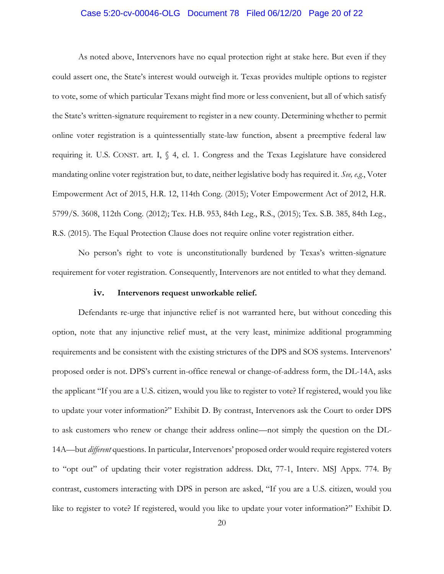### Case 5:20-cv-00046-OLG Document 78 Filed 06/12/20 Page 20 of 22

As noted above, Intervenors have no equal protection right at stake here. But even if they could assert one, the State's interest would outweigh it. Texas provides multiple options to register to vote, some of which particular Texans might find more or less convenient, but all of which satisfy the State's written-signature requirement to register in a new county. Determining whether to permit online voter registration is a quintessentially state-law function, absent a preemptive federal law requiring it. U.S. CONST. art. I, § 4, cl. 1. Congress and the Texas Legislature have considered mandating online voter registration but, to date, neither legislative body has required it. *See, e.g.*, Voter Empowerment Act of 2015, H.R. 12, 114th Cong. (2015); Voter Empowerment Act of 2012, H.R. 5799/S. 3608, 112th Cong. (2012); Tex. H.B. 953, 84th Leg., R.S., (2015); Tex. S.B. 385, 84th Leg., R.S. (2015). The Equal Protection Clause does not require online voter registration either.

No person's right to vote is unconstitutionally burdened by Texas's written-signature requirement for voter registration. Consequently, Intervenors are not entitled to what they demand.

#### **iv. Intervenors request unworkable relief.**

Defendants re-urge that injunctive relief is not warranted here, but without conceding this option, note that any injunctive relief must, at the very least, minimize additional programming requirements and be consistent with the existing strictures of the DPS and SOS systems. Intervenors' proposed order is not. DPS's current in-office renewal or change-of-address form, the DL-14A, asks the applicant "If you are a U.S. citizen, would you like to register to vote? If registered, would you like to update your voter information?" Exhibit D. By contrast, Intervenors ask the Court to order DPS to ask customers who renew or change their address online—not simply the question on the DL-14A—but *different* questions. In particular, Intervenors' proposed order would require registered voters to "opt out" of updating their voter registration address. Dkt, 77-1, Interv. MSJ Appx. 774. By contrast, customers interacting with DPS in person are asked, "If you are a U.S. citizen, would you like to register to vote? If registered, would you like to update your voter information?" Exhibit D.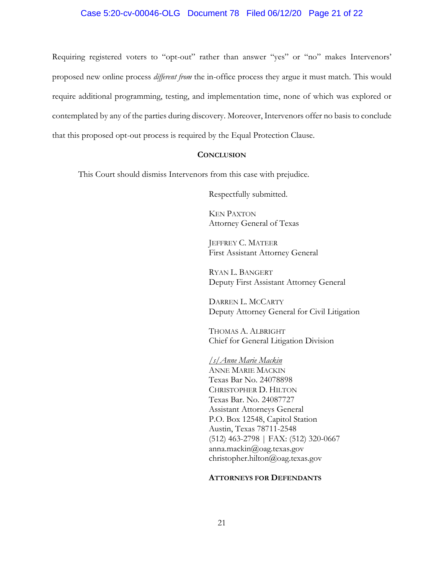# Case 5:20-cv-00046-OLG Document 78 Filed 06/12/20 Page 21 of 22

Requiring registered voters to "opt-out" rather than answer "yes" or "no" makes Intervenors' proposed new online process *different from* the in-office process they argue it must match. This would require additional programming, testing, and implementation time, none of which was explored or contemplated by any of the parties during discovery. Moreover, Intervenors offer no basis to conclude that this proposed opt-out process is required by the Equal Protection Clause.

#### **CONCLUSION**

This Court should dismiss Intervenors from this case with prejudice.

Respectfully submitted.

KEN PAXTON Attorney General of Texas

JEFFREY C. MATEER First Assistant Attorney General

RYAN L. BANGERT Deputy First Assistant Attorney General

DARREN L. MCCARTY Deputy Attorney General for Civil Litigation

THOMAS A. ALBRIGHT Chief for General Litigation Division

*/s/Anne Marie Mackin* ANNE MARIE MACKIN Texas Bar No. 24078898 CHRISTOPHER D. HILTON Texas Bar. No. 24087727 Assistant Attorneys General P.O. Box 12548, Capitol Station Austin, Texas 78711-2548 (512) 463-2798 | FAX: (512) 320-0667 anna.mackin@oag.texas.gov christopher.hilton@oag.texas.gov

#### **ATTORNEYS FOR DEFENDANTS**